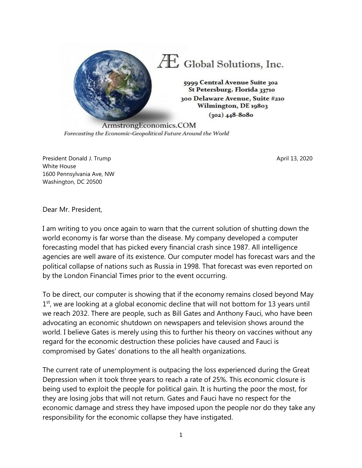

Forecasting the Economic-Geopolitical Future Around the World

President Donald J. Trump April 13, 2020 White House 1600 Pennsylvania Ave, NW Washington, DC 20500

Dear Mr. President,

I am writing to you once again to warn that the current solution of shutting down the world economy is far worse than the disease. My company developed a computer forecasting model that has picked every financial crash since 1987. All intelligence agencies are well aware of its existence. Our computer model has forecast wars and the political collapse of nations such as Russia in 1998. That forecast was even reported on by the London Financial Times prior to the event occurring.

To be direct, our computer is showing that if the economy remains closed beyond May  $1<sup>st</sup>$ , we are looking at a global economic decline that will not bottom for 13 years until we reach 2032. There are people, such as Bill Gates and Anthony Fauci, who have been advocating an economic shutdown on newspapers and television shows around the world. I believe Gates is merely using this to further his theory on vaccines without any regard for the economic destruction these policies have caused and Fauci is compromised by Gates' donations to the all health organizations.

The current rate of unemployment is outpacing the loss experienced during the Great Depression when it took three years to reach a rate of 25%. This economic closure is being used to exploit the people for political gain. It is hurting the poor the most, for they are losing jobs that will not return. Gates and Fauci have no respect for the economic damage and stress they have imposed upon the people nor do they take any responsibility for the economic collapse they have instigated.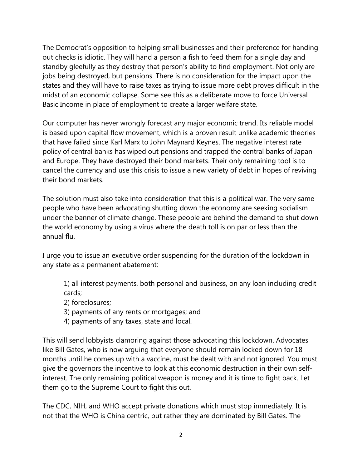The Democrat's opposition to helping small businesses and their preference for handing out checks is idiotic. They will hand a person a fish to feed them for a single day and standby gleefully as they destroy that person's ability to find employment. Not only are jobs being destroyed, but pensions. There is no consideration for the impact upon the states and they will have to raise taxes as trying to issue more debt proves difficult in the midst of an economic collapse. Some see this as a deliberate move to force Universal Basic Income in place of employment to create a larger welfare state.

Our computer has never wrongly forecast any major economic trend. Its reliable model is based upon capital flow movement, which is a proven result unlike academic theories that have failed since Karl Marx to John Maynard Keynes. The negative interest rate policy of central banks has wiped out pensions and trapped the central banks of Japan and Europe. They have destroyed their bond markets. Their only remaining tool is to cancel the currency and use this crisis to issue a new variety of debt in hopes of reviving their bond markets.

The solution must also take into consideration that this is a political war. The very same people who have been advocating shutting down the economy are seeking socialism under the banner of climate change. These people are behind the demand to shut down the world economy by using a virus where the death toll is on par or less than the annual flu.

I urge you to issue an executive order suspending for the duration of the lockdown in any state as a permanent abatement:

1) all interest payments, both personal and business, on any loan including credit cards;

- 2) foreclosures;
- 3) payments of any rents or mortgages; and
- 4) payments of any taxes, state and local.

This will send lobbyists clamoring against those advocating this lockdown. Advocates like Bill Gates, who is now arguing that everyone should remain locked down for 18 months until he comes up with a vaccine, must be dealt with and not ignored. You must give the governors the incentive to look at this economic destruction in their own selfinterest. The only remaining political weapon is money and it is time to fight back. Let them go to the Supreme Court to fight this out.

The CDC, NIH, and WHO accept private donations which must stop immediately. It is not that the WHO is China centric, but rather they are dominated by Bill Gates. The